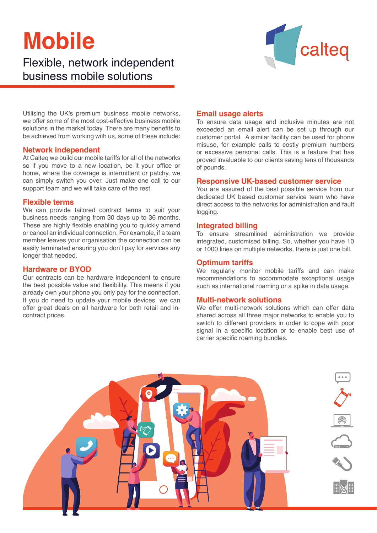# **Mobile**

# Flexible, network independent business mobile solutions



Utilising the UK's premium business mobile networks, we offer some of the most cost-effective business mobile solutions in the market today. There are many benefits to be achieved from working with us, some of these include:

### **Network independent**

At Calteg we build our mobile tariffs for all of the networks so if you move to a new location, be it your office or home, where the coverage is intermittent or patchy, we can simply switch you over. Just make one call to our support team and we will take care of the rest.

#### **Flexible terms**

We can provide tailored contract terms to suit your business needs ranging from 30 days up to 36 months. These are highly flexible enabling you to quickly amend or cancel an individual connection. For example, if a team member leaves your organisation the connection can be easily terminated ensuring you don't pay for services any longer that needed.

# **Hardware or BYOD**

Our contracts can be hardware independent to ensure the best possible value and flexibility. This means if you already own your phone you only pay for the connection. If you do need to update your mobile devices, we can offer great deals on all hardware for both retail and incontract prices.

## **Email usage alerts**

To ensure data usage and inclusive minutes are not exceeded an email alert can be set up through our customer portal. A similar facility can be used for phone misuse, for example calls to costly premium numbers or excessive personal calls. This is a feature that has proved invaluable to our clients saving tens of thousands of pounds.

#### **Responsive UK-based customer service**

You are assured of the best possible service from our dedicated UK based customer service team who have direct access to the networks for administration and fault logging.

#### **Integrated billing**

To ensure streamlined administration we provide integrated, customised billing. So, whether you have 10 or 1000 lines on multiple networks, there is just one bill.

### **Optimum tariffs**

We regularly monitor mobile tariffs and can make recommendations to accommodate exceptional usage such as international roaming or a spike in data usage.

### **Multi-network solutions**

We offer multi-network solutions which can offer data shared across all three major networks to enable you to switch to different providers in order to cope with poor signal in a specific location or to enable best use of carrier specific roaming bundles.